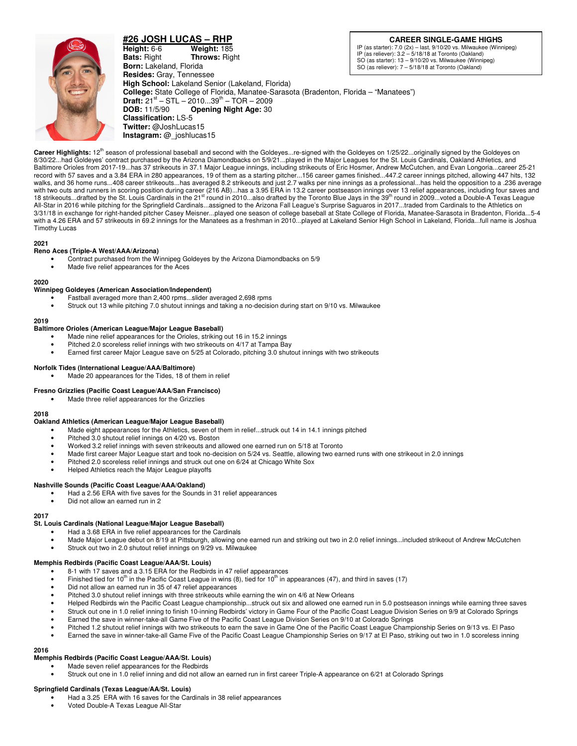

**#26 JOSH LUCAS – RHP Height:** 6-6 **Weight:** 185 **Bats:** Right **Throws:** Right **Born:** Lakeland, Florida **Resides:** Gray, Tennessee **High School:** Lakeland Senior (Lakeland, Florida) **College:** State College of Florida, Manatee-Sarasota (Bradenton, Florida – "Manatees") **Draft:** 21<sup>st</sup> – STL – 2010...39<sup>th</sup> – TOR – 2009<br>**DOB:** 11/5/90 **Opening Night Age:** 30 **Opening Night Age: 30 Classification:** LS-5 **Twitter:** @JoshLucas15 **Instagram:** @\_joshlucas15

**CAREER SINGLE-GAME HIGHS**

IP (as starter): 7.0 (2x) – last, 9/10/20 vs. Milwaukee (Winnipeg) IP (as reliever): 3.2 – 5/18/18 at Toronto (Oakland) SO (as starter): 13 – 9/10/20 vs. Milwaukee (Winnipeg) SO (as reliever): 7 – 5/18/18 at Toronto (Oakland)

Career Highlights: 12<sup>th</sup> season of professional baseball and second with the Goldeyes...re-signed with the Goldeyes on 1/25/22...originally signed by the Goldeyes on 8/30/22...had Goldeyes' contract purchased by the Arizona Diamondbacks on 5/9/21...played in the Major Leagues for the St. Louis Cardinals, Oakland Athletics, and Baltimore Orioles from 2017-19...has 37 strikeouts in 37.1 Major League innings, including strikeouts of Eric Hosmer, Andrew McCutchen, and Evan Longoria...career 25-21 record with 57 saves and a 3.84 ERA in 280 appearances, 19 of them as a starting pitcher...156 career games finished...447.2 career innings pitched, allowing 447 hits, 132 walks, and 36 home runs...408 career strikeouts...has averaged 8.2 strikeouts and just 2.7 walks per nine innings as a professional...has held the opposition to a .236 average with two outs and runners in scoring position during career (216 AB)…has a 3.95 ERA in 13.2 career postseason innings over 13 relief appearances, including four saves and<br>18 strikeouts…drafted by the St. Louis Cardinals in All-Star in 2016 while pitching for the Springfield Cardinals...assigned to the Arizona Fall League's Surprise Saguaros in 2017...traded from Cardinals to the Athletics on 3/31/18 in exchange for right-handed pitcher Casey Meisner...played one season of college baseball at State College of Florida, Manatee-Sarasota in Bradenton, Florida...5-4 with a 4.26 ERA and 57 strikeouts in 69.2 innings for the Manatees as a freshman in 2010...played at Lakeland Senior High School in Lakeland, Florida...full name is Joshua Timothy Lucas

## **2021**

## **Reno Aces (Triple-A West/AAA/Arizona)**

- Contract purchased from the Winnipeg Goldeyes by the Arizona Diamondbacks on 5/9
- Made five relief appearances for the Aces

#### **2020**

## **Winnipeg Goldeyes (American Association/Independent)**

- Fastball averaged more than 2,400 rpms...slider averaged 2,698 rpms
- Struck out 13 while pitching 7.0 shutout innings and taking a no-decision during start on 9/10 vs. Milwaukee

#### **2019**

## **Baltimore Orioles (American League/Major League Baseball)**

- Made nine relief appearances for the Orioles, striking out 16 in 15.2 innings
- Pitched 2.0 scoreless relief innings with two strikeouts on 4/17 at Tampa Bay
- Earned first career Major League save on 5/25 at Colorado, pitching 3.0 shutout innings with two strikeouts

## **Norfolk Tides (International League/AAA/Baltimore)**

Made 20 appearances for the Tides, 18 of them in relief

#### **Fresno Grizzlies (Pacific Coast League/AAA/San Francisco)**

Made three relief appearances for the Grizzlies

#### **2018**

#### **Oakland Athletics (American League/Major League Baseball)**

- Made eight appearances for the Athletics, seven of them in relief...struck out 14 in 14.1 innings pitched
- Pitched 3.0 shutout relief innings on 4/20 vs. Boston
- Worked 3.2 relief innings with seven strikeouts and allowed one earned run on 5/18 at Toronto
- Made first career Major League start and took no-decision on 5/24 vs. Seattle, allowing two earned runs with one strikeout in 2.0 innings
- Pitched 2.0 scoreless relief innings and struck out one on 6/24 at Chicago White Sox
- Helped Athletics reach the Major League playoffs

#### **Nashville Sounds (Pacific Coast League/AAA/Oakland)**

- Had a 2.56 ERA with five saves for the Sounds in 31 relief appearances
- Did not allow an earned run in 2

#### **2017**

#### **St. Louis Cardinals (National League/Major League Baseball)**

- Had a 3.68 ERA in five relief appearances for the Cardinals
- Made Major League debut on 8/19 at Pittsburgh, allowing one earned run and striking out two in 2.0 relief innings...included strikeout of Andrew McCutchen
- Struck out two in 2.0 shutout relief innings on 9/29 vs. Milwaukee

# **Memphis Redbirds (Pacific Coast League/AAA/St. Louis)**

- 8-1 with 17 saves and a 3.15 ERA for the Redbirds in 47 relief appearances
- Finished tied for 10<sup>th</sup> in the Pacific Coast League in wins (8), tied for 10<sup>th</sup> in appearances (47), and third in saves (17)
- Did not allow an earned run in 35 of 47 relief appearances
- Pitched 3.0 shutout relief innings with three strikeouts while earning the win on 4/6 at New Orleans
- Helped Redbirds win the Pacific Coast League championship...struck out six and allowed one earned run in 5.0 postseason innings while earning three saves
- Struck out one in 1.0 relief inning to finish 10-inning Redbirds' victory in Game Four of the Pacific Coast League Division Series on 9/9 at Colorado Springs
- Earned the save in winner-take-all Game Five of the Pacific Coast League Division Series on 9/10 at Colorado Springs
- Pitched 1.2 shutout relief innings with two strikeouts to earn the save in Game One of the Pacific Coast League Championship Series on 9/13 vs. El Paso
- Earned the save in winner-take-all Game Five of the Pacific Coast League Championship Series on 9/17 at El Paso, striking out two in 1.0 scoreless inning

#### **2016**

# **Memphis Redbirds (Pacific Coast League/AAA/St. Louis)**

- Made seven relief appearances for the Redbirds
- Struck out one in 1.0 relief inning and did not allow an earned run in first career Triple-A appearance on 6/21 at Colorado Springs

# **Springfield Cardinals (Texas League/AA/St. Louis)**

- Had a 3.25 ERA with 16 saves for the Cardinals in 38 relief appearances
- Voted Double-A Texas League All-Star